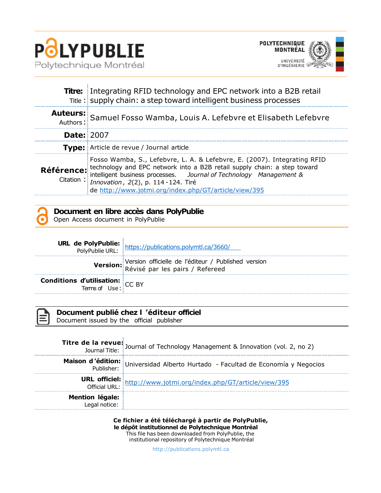



|                             | <b>Titre:</b> Integrating RFID technology and EPC network into a B2B retail<br>Title : supply chain: a step toward intelligent business processes                                                                                                                                                                                           |  |  |
|-----------------------------|---------------------------------------------------------------------------------------------------------------------------------------------------------------------------------------------------------------------------------------------------------------------------------------------------------------------------------------------|--|--|
| <b>Auteurs:</b><br>Authors: | Samuel Fosso Wamba, Louis A. Lefebvre et Elisabeth Lefebvre                                                                                                                                                                                                                                                                                 |  |  |
| <b>Date: 2007</b>           |                                                                                                                                                                                                                                                                                                                                             |  |  |
|                             | <b>Type:</b> Article de revue / Journal article                                                                                                                                                                                                                                                                                             |  |  |
| Référence:                  | Fosso Wamba, S., Lefebvre, L. A. & Lefebvre, E. (2007). Integrating RFID<br>technology and EPC network into a B2B retail supply chain: a step toward<br>intelligent business processes. Journal of Technology Management &<br>Citation : <i>Innovation, 2(2), p. 114-124.</i> Tiré<br>de http://www.jotmi.org/index.php/GT/article/view/395 |  |  |

| Document en libre accès dans PolyPublie |  |  |  |  |  |
|-----------------------------------------|--|--|--|--|--|
|-----------------------------------------|--|--|--|--|--|

Open Access document in PolyPublie

|                                                            | <b>URL de PolyPublie:</b><br>PolyPublie URL: https://publications.polymtl.ca/3660/              |
|------------------------------------------------------------|-------------------------------------------------------------------------------------------------|
|                                                            | Version: Version officielle de l'éditeur / Published version<br>Révisé par les pairs / Refereed |
| <b>Conditions d'utilisation:</b> $CC BY$<br>Tems of $Use:$ |                                                                                                 |

| Document publié chez I 'éditeur officiel<br>$\equiv$ Document issued by the official publisher |
|------------------------------------------------------------------------------------------------|
|                                                                                                |

|                                         | Titre de la revue:<br>Journal Title: Journal of Technology Management & Innovation (vol. 2, no 2)     |
|-----------------------------------------|-------------------------------------------------------------------------------------------------------|
|                                         | Maison d'édition: Universidad Alberto Hurtado - Facultad de Economía y Negocios                       |
|                                         | <b>URL officiel:</b> http://www.jotmi.org/index.php/GT/article/view/395<br>Official URL: Distribution |
| <b>Mention légale:</b><br>Legal notice: |                                                                                                       |

**Ce fichier a été téléchargé à partir de PolyPublie, le dépôt institutionnel de Polytechnique Montréal** This file has been downloaded from PolyPublie, the institutional repository of Polytechnique Montréal

[http://publications.polymtl.ca](http://publications.polymtl.ca/)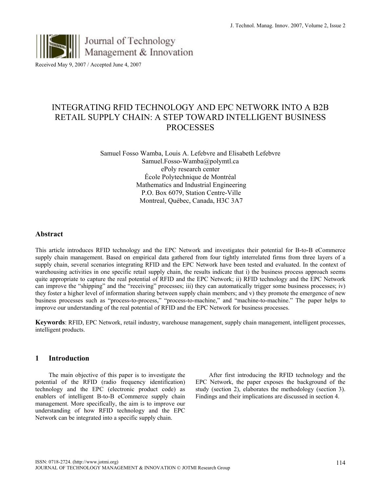

Received May 9, 2007 / Accepted June 4, 2007

# INTEGRATING RFID TECHNOLOGY AND EPC NETWORK INTO A B2B RETAIL SUPPLY CHAIN: A STEP TOWARD INTELLIGENT BUSINESS **PROCESSES**

Samuel Fosso Wamba, Louis A. Lefebvre and Elisabeth Lefebvre Samuel.Fosso-Wamba@polymtl.ca ePoly research center École Polytechnique de Montréal Mathematics and Industrial Engineering P.O. Box 6079, Station Centre-Ville Montreal, Québec, Canada, H3C 3A7

# **Abstract**

This article introduces RFID technology and the EPC Network and investigates their potential for B-to-B eCommerce supply chain management. Based on empirical data gathered from four tightly interrelated firms from three layers of a supply chain, several scenarios integrating RFID and the EPC Network have been tested and evaluated. In the context of warehousing activities in one specific retail supply chain, the results indicate that i) the business process approach seems quite appropriate to capture the real potential of RFID and the EPC Network; ii) RFID technology and the EPC Network can improve the "shipping" and the "receiving" processes; iii) they can automatically trigger some business processes; iv) they foster a higher level of information sharing between supply chain members; and v) they promote the emergence of new business processes such as "process-to-process," "process-to-machine," and "machine-to-machine." The paper helps to improve our understanding of the real potential of RFID and the EPC Network for business processes.

**Keywords**: RFID, EPC Network, retail industry, warehouse management, supply chain management, intelligent processes, intelligent products.

# **1 Introduction**

The main objective of this paper is to investigate the potential of the RFID (radio frequency identification) technology and the EPC (electronic product code) as enablers of intelligent B-to-B eCommerce supply chain management. More specifically, the aim is to improve our understanding of how RFID technology and the EPC Network can be integrated into a specific supply chain.

After first introducing the RFID technology and the EPC Network, the paper exposes the background of the study (section 2), elaborates the methodology (section 3). Findings and their implications are discussed in section 4.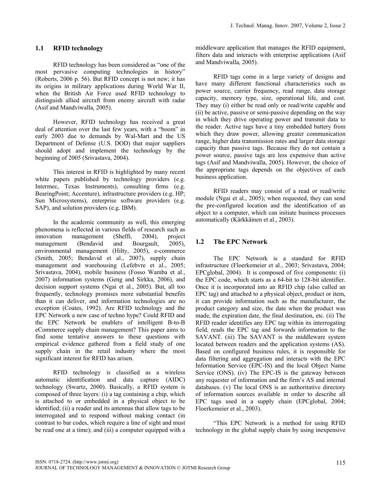### **1.1 RFID technology**

RFID technology has been considered as "one of the most pervasive computing technologies in history" (Roberts, 2006 p. 56). But RFID concept is not new; it has its origins in military applications during World War II, when the British Air Force used RFID technology to distinguish allied aircraft from enemy aircraft with radar (Asif and Mandviwalla, 2005).

However, RFID technology has received a great deal of attention over the last few years, with a "boom" in early 2003 due to demands by Wal-Mart and the US Department of Defense (U.S. DOD) that major suppliers should adopt and implement the technology by the beginning of 2005 (Srivastava, 2004).

This interest in RFID is highlighted by many recent white papers published by technology providers (e.g. Intermec, Texas Instruments), consulting firms (e.g. BearingPoint; Accenture), infrastructure providers (e.g. HP; Sun Microsystems), enterprise software providers (e.g. SAP), and solution providers (e.g. IBM).

In the academic community as well, this emerging phenomena is reflected in various fields of research such as innovation management (Sheffi, 2004), project management (Bendavid and Bourgault, 2005), environmental management (Hilty, 2005), e-commerce (Smith, 2005; Bendavid et al., 2007), supply chain management and warehousing (Lefebvre et al., 2005; Srivastava, 2004), mobile business (Fosso Wamba et al., 2007) information systems (Geng and Sirkka, 2006), and decision support systems (Ngai et al., 2005). But, all too frequently, technology promises more substantial benefits than it can deliver, and information technologies are no exception (Coates, 1992). Are RFID technology and the EPC Network a new case of techno hype? Could RFID and the EPC Network be enablers of intelligent B-to-B eCommerce supply chain management? This paper aims to find some tentative answers to these questions with empirical evidence gathered from a field study of one supply chain in the retail industry where the most significant interest for RFID has arisen.

RFID technology is classified as a wireless automatic identification and data capture (AIDC) technology (Swartz, 2000). Basically, a RFID system is composed of three layers: (i) a tag containing a chip, which is attached to or embedded in a physical object to be identified; (ii) a reader and its antennas that allow tags to be interrogated and to respond without making contact (in contrast to bar codes, which require a line of sight and must be read one at a time); and (iii) a computer equipped with a

middleware application that manages the RFID equipment, filters data and interacts with enterprise applications (Asif and Mandviwalla, 2005).

RFID tags come in a large variety of designs and have many different functional characteristics such as power source, carrier frequency, read range, data storage capacity, memory type, size, operational life, and cost. They may (i) either be read only or read/write capable and (ii) be active, passive or semi-passive depending on the way in which they drive operating power and transmit data to the reader. Active tags have a tiny embedded battery from which they draw power, allowing greater communication range, higher data transmission rates and larger data storage capacity than passive tags. Because they do not contain a power source, passive tags are less expensive than active tags (Asif and Mandviwalla, 2005). However, the choice of the appropriate tags depends on the objectives of each business application.

RFID readers may consist of a read or read/write module (Ngai et al., 2005); when requested, they can send the pre-configured location and the identification of an object to a computer, which can initiate business processes automatically (Kärkkäinen et al., 2003).

### **1.2 The EPC Network**

The EPC Network is a standard for RFID infrastructure (Floerkemeier et al., 2003; Srivastava, 2004; EPCglobal, 2004). It is composed of five components: (i) the EPC code, which starts as a 64-bit to 128-bit identifier. Once it is incorporated into an RFID chip (also called an EPC tag) and attached to a physical object, product or item, it can provide information such as the manufacturer, the product category and size, the date when the product was made, the expiration date, the final destination, etc. (ii) The RFID reader identifies any EPC tag within its interrogating field, reads the EPC tag and forwards information to the SAVANT. (iii) The SAVANT is the middleware system located between readers and the application systems (AS). Based on configured business rules, it is responsible for data filtering and aggregation and interacts with the EPC Information Service (EPC-IS) and the local Object Name Service (ONS). (iv) The EPC-IS is the gateway between any requester of information and the firm's AS and internal databases. (v) The local ONS is an authoritative directory of information sources available in order to describe all EPC tags used in a supply chain (EPCglobal, 2004; Floerkemeier et al., 2003).

"This EPC Network is a method for using RFID technology in the global supply chain by using inexpensive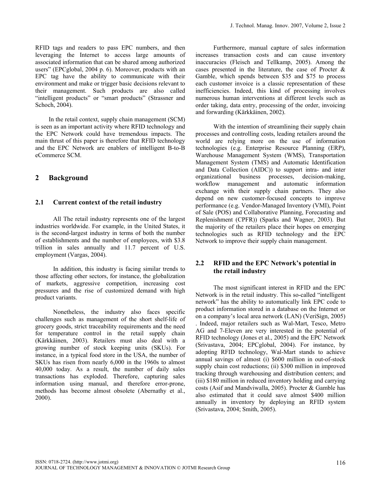RFID tags and readers to pass EPC numbers, and then leveraging the Internet to access large amounts of associated information that can be shared among authorized users" (EPCglobal, 2004 p. 6). Moreover, products with an EPC tag have the ability to communicate with their environment and make or trigger basic decisions relevant to their management. Such products are also called "intelligent products" or "smart products" (Strassner and Schoch, 2004).

In the retail context, supply chain management (SCM) is seen as an important activity where RFID technology and the EPC Network could have tremendous impacts. The main thrust of this paper is therefore that RFID technology and the EPC Network are enablers of intelligent B-to-B eCommerce SCM.

# **2 Background**

### **2.1 Current context of the retail industry**

All The retail industry represents one of the largest industries worldwide. For example, in the United States, it is the second-largest industry in terms of both the number of establishments and the number of employees, with \$3.8 trillion in sales annually and 11.7 percent of U.S. employment (Vargas, 2004).

In addition, this industry is facing similar trends to those affecting other sectors, for instance, the globalization of markets, aggressive competition, increasing cost pressures and the rise of customized demand with high product variants.

Nonetheless, the industry also faces specific challenges such as management of the short shelf-life of grocery goods, strict traceability requirements and the need for temperature control in the retail supply chain (Kärkkäinen, 2003). Retailers must also deal with a growing number of stock keeping units (SKUs). For instance, in a typical food store in the USA, the number of SKUs has risen from nearly 6,000 in the 1960s to almost 40,000 today. As a result, the number of daily sales transactions has exploded. Therefore, capturing sales information using manual, and therefore error-prone, methods has become almost obsolete (Abernathy et al., 2000).

Furthermore, manual capture of sales information increases transaction costs and can cause inventory inaccuracies (Fleisch and Tellkamp, 2005). Among the cases presented in the literature, the case of Procter & Gamble, which spends between \$35 and \$75 to process each customer invoice is a classic representation of these inefficiencies. Indeed, this kind of processing involves numerous human interventions at different levels such as order taking, data entry, processing of the order, invoicing and forwarding (Kärkkäinen, 2002).

With the intention of streamlining their supply chain processes and controlling costs, leading retailers around the world are relying more on the use of information technologies (e.g. Enterprise Resource Planning (ERP), Warehouse Management System (WMS), Transportation Management System (TMS) and Automatic Identification and Data Collection (AIDC)) to support intra- and inter organizational business processes, decision-making, workflow management and automatic information exchange with their supply chain partners. They also depend on new customer-focused concepts to improve performance (e.g. Vendor-Managed Inventory (VMI), Point of Sale (POS) and Collaborative Planning, Forecasting and Replenishment (CPFR)) (Sparks and Wagner, 2003). But the majority of the retailers place their hopes on emerging technologies such as RFID technology and the EPC Network to improve their supply chain management.

# **2.2 RFID and the EPC Network's potential in the retail industry**

The most significant interest in RFID and the EPC Network is in the retail industry. This so-called "intelligent network" has the ability to automatically link EPC code to product information stored in a database on the Internet or on a company's local area network (LAN) (VeriSign, 2005) . Indeed, major retailers such as Wal-Mart, Tesco, Metro AG and 7-Eleven are very interested in the potential of RFID technology (Jones et al., 2005) and the EPC Network (Srivastava, 2004; EPCglobal, 2004). For instance, by adopting RFID technology, Wal-Mart stands to achieve annual savings of almost (i) \$600 million in out-of-stock supply chain cost reductions; (ii) \$300 million in improved tracking through warehousing and distribution centers; and (iii) \$180 million in reduced inventory holding and carrying costs (Asif and Mandviwalla, 2005). Procter & Gamble has also estimated that it could save almost \$400 million annually in inventory by deploying an RFID system (Srivastava, 2004; Smith, 2005).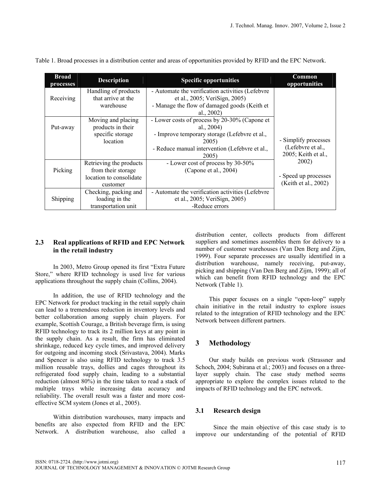| <b>Broad</b><br>processes | <b>Description</b>      | <b>Specific opportunities</b>                    | Common<br>opportunities |
|---------------------------|-------------------------|--------------------------------------------------|-------------------------|
|                           | Handling of products    | - Automate the verification activities (Lefebvre |                         |
| Receiving                 | that arrive at the      | et al., 2005; VeriSign, 2005)                    |                         |
|                           | warehouse               | - Manage the flow of damaged goods (Keith et     |                         |
|                           |                         | al., 2002)                                       |                         |
|                           | Moving and placing      | - Lower costs of process by 20-30% (Capone et    |                         |
| Put-away                  | products in their       | al., $2004$                                      |                         |
|                           | specific storage        | - Improve temporary storage (Lefebvre et al.,    |                         |
|                           | location                | 2005)                                            | - Simplify processes    |
|                           |                         | - Reduce manual intervention (Lefebvre et al.,   | (Lefebvre et al.,       |
|                           |                         | 2005)                                            | 2005; Keith et al.,     |
|                           | Retrieving the products | - Lower cost of process by 30-50%                | 2002)                   |
| Picking                   | from their storage      | (Capone et al., $2004$ )                         |                         |
|                           | location to consolidate |                                                  | - Speed up processes    |
|                           | customer                |                                                  | (Keith et al., 2002)    |
|                           | Checking, packing and   | - Automate the verification activities (Lefebvre |                         |
| Shipping                  | loading in the          | et al., 2005; VeriSign, 2005)                    |                         |
|                           | transportation unit     | -Reduce errors                                   |                         |

Table 1. Broad processes in a distribution center and areas of opportunities provided by RFID and the EPC Network.

# **2.3 Real applications of RFID and EPC Network in the retail industry**

In 2003, Metro Group opened its first "Extra Future Store," where RFID technology is used live for various applications throughout the supply chain (Collins, 2004).

In addition, the use of RFID technology and the EPC Network for product tracking in the retail supply chain can lead to a tremendous reduction in inventory levels and better collaboration among supply chain players. For example, Scottish Courage, a British beverage firm, is using RFID technology to track its 2 million keys at any point in the supply chain. As a result, the firm has eliminated shrinkage, reduced key cycle times, and improved delivery for outgoing and incoming stock (Srivastava, 2004). Marks and Spencer is also using RFID technology to track 3.5 million reusable trays, dollies and cages throughout its refrigerated food supply chain, leading to a substantial reduction (almost 80%) in the time taken to read a stack of multiple trays while increasing data accuracy and reliability. The overall result was a faster and more costeffective SCM system (Jones et al., 2005).

Within distribution warehouses, many impacts and benefits are also expected from RFID and the EPC Network. A distribution warehouse, also called a

distribution center, collects products from different suppliers and sometimes assembles them for delivery to a number of customer warehouses (Van Den Berg and Zijm, 1999). Four separate processes are usually identified in a distribution warehouse, namely receiving, put-away, picking and shipping (Van Den Berg and Zijm, 1999); all of which can benefit from RFID technology and the EPC Network (Table 1).

This paper focuses on a single "open-loop" supply chain initiative in the retail industry to explore issues related to the integration of RFID technology and the EPC Network between different partners.

# **3 Methodology**

Our study builds on previous work (Strassner and Schoch, 2004; Subirana et al.; 2003) and focuses on a threelayer supply chain. The case study method seems appropriate to explore the complex issues related to the impacts of RFID technology and the EPC network.

# **3.1 Research design**

Since the main objective of this case study is to improve our understanding of the potential of RFID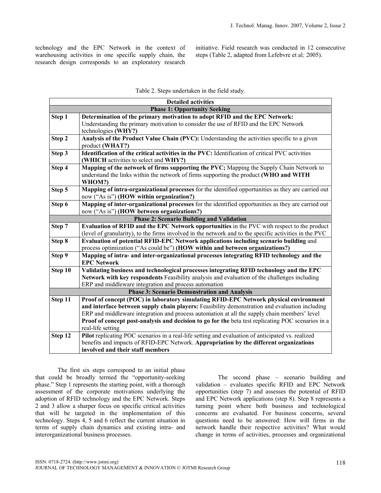technology and the EPC Network in the context of warehousing activities in one specific supply chain, the research design corresponds to an exploratory research

initiative. Field research was conducted in 12 consecutive steps (Table 2, adapted from Lefebvre et al*;* 2005).

| Table 2. Steps undertaken in the field study. |  |  |  |  |
|-----------------------------------------------|--|--|--|--|
|-----------------------------------------------|--|--|--|--|

| <b>Detailed activities</b> |                                                                                                                                                       |  |
|----------------------------|-------------------------------------------------------------------------------------------------------------------------------------------------------|--|
|                            | <b>Phase 1: Opportunity Seeking</b>                                                                                                                   |  |
| Step 1                     | Determination of the primary motivation to adopt RFID and the EPC Network:                                                                            |  |
|                            | Understanding the primary motivation to consider the use of RFID and the EPC Network                                                                  |  |
|                            | technologies (WHY?)                                                                                                                                   |  |
| Step 2                     | Analysis of the Product Value Chain (PVC): Understanding the activities specific to a given                                                           |  |
|                            | product (WHAT?)                                                                                                                                       |  |
| Step 3                     | Identification of the critical activities in the PVC: Identification of critical PVC activities                                                       |  |
|                            | (WHICH activities to select and WHY?)                                                                                                                 |  |
| Step 4                     | Mapping of the network of firms supporting the PVC; Mapping the Supply Chain Network to                                                               |  |
|                            | understand the links within the network of firms supporting the product (WHO and WITH                                                                 |  |
|                            | WHOM?)                                                                                                                                                |  |
| Step 5                     | Mapping of intra-organizational processes for the identified opportunities as they are carried out                                                    |  |
|                            | now ("As is") (HOW within organization?)                                                                                                              |  |
| Step 6                     | Mapping of inter-organizational processes for the identified opportunities as they are carried out                                                    |  |
|                            | now ("As is") (HOW between organizations?)                                                                                                            |  |
|                            | <b>Phase 2: Scenario Building and Validation</b>                                                                                                      |  |
| Step 7                     | Evaluation of RFID and the EPC Network opportunities in the PVC with respect to the product                                                           |  |
|                            | (level of granularity), to the firms involved in the network and to the specific activities in the PVC                                                |  |
| Step 8                     | Evaluation of potential RFID-EPC Network applications including scenario building and                                                                 |  |
|                            | process optimization ("As could be") (HOW within and between organizations?)                                                                          |  |
| Step 9                     | Mapping of intra- and inter-organizational processes integrating RFID technology and the                                                              |  |
|                            | <b>EPC Network</b>                                                                                                                                    |  |
| Step 10                    | Validating business and technological processes integrating RFID technology and the EPC                                                               |  |
|                            | Network with key respondents Feasibility analysis and evaluation of the challenges including<br>ERP and middleware integration and process automation |  |
|                            | <b>Phase 3: Scenario Demonstration and Analysis</b>                                                                                                   |  |
| Step 11                    | Proof of concept (POC) in laboratory simulating RFID-EPC Network physical environment                                                                 |  |
|                            | and interface between supply chain players: Feasibility demonstration and evaluation including                                                        |  |
|                            | ERP and middleware integration and process automation at all the supply chain members' level                                                          |  |
|                            | Proof of concept post-analysis and decision to go for the beta test replicating POC scenarios in a                                                    |  |
|                            | real-life setting                                                                                                                                     |  |
| Step 12                    | Pilot replicating POC scenarios in a real-life setting and evaluation of anticipated vs. realized                                                     |  |
|                            | benefits and impacts of RFID-EPC Network. Appropriation by the different organizations                                                                |  |
|                            | involved and their staff members                                                                                                                      |  |
|                            |                                                                                                                                                       |  |

The first six steps correspond to an initial phase that could be broadly termed the "opportunity-seeking phase." Step 1 represents the starting point, with a thorough assessment of the corporate motivations underlying the adoption of RFID technology and the EPC Network. Steps 2 and 3 allow a sharper focus on specific critical activities that will be targeted in the implementation of this technology. Steps 4, 5 and 6 reflect the current situation in terms of supply chain dynamics and existing intra- and interorganizational business processes.

The second phase – scenario building and validation – evaluates specific RFID and EPC Network opportunities (step 7) and assesses the potential of RFID and EPC Network applications (step 8). Step 8 represents a turning point where both business and technological concerns are evaluated. For business concerns, several questions need to be answered: How will firms in the network handle their respective activities? What would change in terms of activities, processes and organizational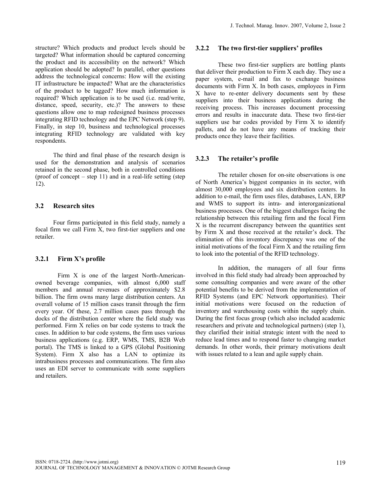structure? Which products and product levels should be targeted? What information should be captured concerning the product and its accessibility on the network? Which application should be adopted? In parallel, other questions address the technological concerns: How will the existing IT infrastructure be impacted? What are the characteristics of the product to be tagged? How much information is required? Which application is to be used (i.e. read/write, distance, speed, security, etc.)? The answers to these questions allow one to map redesigned business processes integrating RFID technology and the EPC Network (step 9). Finally, in step 10, business and technological processes integrating RFID technology are validated with key respondents.

The third and final phase of the research design is used for the demonstration and analysis of scenarios retained in the second phase, both in controlled conditions (proof of concept – step 11) and in a real-life setting (step 12).

### **3.2 Research sites**

Four firms participated in this field study, namely a focal firm we call Firm X, two first-tier suppliers and one retailer.

#### **3.2.1 Firm X's profile**

Firm X is one of the largest North-Americanowned beverage companies, with almost 6,000 staff members and annual revenues of approximately \$2.8 billion. The firm owns many large distribution centers. An overall volume of 15 million cases transit through the firm every year. Of these, 2.7 million cases pass through the docks of the distribution center where the field study was performed. Firm X relies on bar code systems to track the cases. In addition to bar code systems, the firm uses various business applications (e.g. ERP, WMS, TMS, B2B Web portal). The TMS is linked to a GPS (Global Positioning System). Firm X also has a LAN to optimize its intrabusiness processes and communications. The firm also uses an EDI server to communicate with some suppliers and retailers.

#### **3.2.2 The two first-tier suppliers' profiles**

These two first-tier suppliers are bottling plants that deliver their production to Firm X each day. They use a paper system, e-mail and fax to exchange business documents with Firm X. In both cases, employees in Firm X have to re-enter delivery documents sent by these suppliers into their business applications during the receiving process. This increases document processing errors and results in inaccurate data. These two first-tier suppliers use bar codes provided by Firm X to identify pallets, and do not have any means of tracking their products once they leave their facilities.

#### **3.2.3 The retailer's profile**

The retailer chosen for on-site observations is one of North America's biggest companies in its sector, with almost 30,000 employees and six distribution centers. In addition to e-mail, the firm uses files, databases, LAN, ERP and WMS to support its intra- and interorganizational business processes. One of the biggest challenges facing the relationship between this retailing firm and the focal Firm X is the recurrent discrepancy between the quantities sent by Firm X and those received at the retailer's dock. The elimination of this inventory discrepancy was one of the initial motivations of the focal Firm X and the retailing firm to look into the potential of the RFID technology.

In addition, the managers of all four firms involved in this field study had already been approached by some consulting companies and were aware of the other potential benefits to be derived from the implementation of RFID Systems (and EPC Network opportunities). Their initial motivations were focused on the reduction of inventory and warehousing costs within the supply chain. During the first focus group (which also included academic researchers and private and technological partners) (step 1), they clarified their initial strategic intent with the need to reduce lead times and to respond faster to changing market demands. In other words, their primary motivations dealt with issues related to a lean and agile supply chain.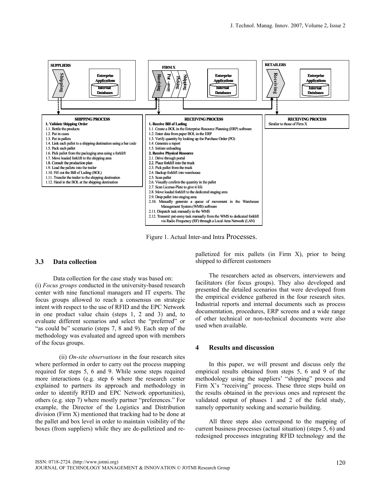

Figure 1. Actual Inter-and Intra Processes.

#### **3.3 Data collection**

Data collection for the case study was based on: (i) *Focus groups* conducted in the university-based research center with nine functional managers and IT experts. The focus groups allowed to reach a consensus on strategic intent with respect to the use of RFID and the EPC Network in one product value chain (steps 1, 2 and 3) and, to evaluate different scenarios and select the "preferred" or "as could be" scenario (steps 7, 8 and 9). Each step of the methodology was evaluated and agreed upon with members of the focus groups.

 (ii) *On-site observations* in the four research sites where performed in order to carry out the process mapping required for steps 5, 6 and 9. While some steps required more interactions (e.g. step 6 where the research center explained to partners its approach and methodology in order to identify RFID and EPC Network opportunities), others (e.g. step 7) where mostly partner "preferences." For example, the Director of the Logistics and Distribution division (Firm X) mentioned that tracking had to be done at the pallet and box level in order to maintain visibility of the boxes (from suppliers) while they are de-palletized and repalletized for mix pallets (in Firm X), prior to being shipped to different customers

The researchers acted as observers, interviewers and facilitators (for focus groups). They also developed and presented the detailed scenarios that were developed from the empirical evidence gathered in the four research sites. Industrial reports and internal documents such as process documentation, procedures, ERP screens and a wide range of other technical or non-technical documents were also used when available.

#### **4 Results and discussion**

In this paper, we will present and discuss only the empirical results obtained from steps 5, 6 and 9 of the methodology using the suppliers' "shipping" process and Firm X's "receiving" process. These three steps build on the results obtained in the previous ones and represent the validated output of phases 1 and 2 of the field study, namely opportunity seeking and scenario building.

All three steps also correspond to the mapping of current business processes (actual situation) (steps 5, 6) and redesigned processes integrating RFID technology and the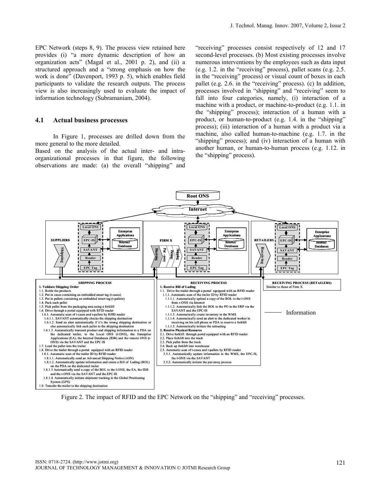EPC Network (steps 8, 9). The process view retained here provides (i) "a more dynamic description of how an organization acts" (Magal et al., 2001 p. 2), and (ii) a structured approach and a "strong emphasis on how the work is done" (Davenport, 1993 p. 5), which enables field participants to validate the research outputs. The process view is also increasingly used to evaluate the impact of information technology (Subramaniam, 2004).

### **4.1 Actual business processes**

In Figure 1, processes are drilled down from the more general to the more detailed.

Based on the analysis of the actual inter- and intraorganizational processes in that figure, the following observations are made: (a) the overall "shipping" and "receiving" processes consist respectively of 12 and 17 second-level processes. (b) Most existing processes involve numerous interventions by the employees such as data input (e.g. 1.2. in the "receiving" process), pallet scans (e.g. 2.5. in the "receiving" process) or visual count of boxes in each pallet (e.g. 2.6. in the "receiving" process). (c) In addition, processes involved in "shipping" and "receiving" seem to fall into four categories, namely, (i) interaction of a machine with a product, or machine-to-product (e.g. 1.1. in the "shipping" process); interaction of a human with a product, or human-to-product (e.g. 1.4. in the "shipping" process); (iii) interaction of a human with a product via a machine, also called human-to-machine (e.g. 1.7. in the "shipping" process); and (iv) interaction of a human with another human, or human-to-human process (e.g. 1.12. in the "shipping" process).



Figure 2. The impact of RFID and the EPC Network on the "shipping" and "receiving" processes.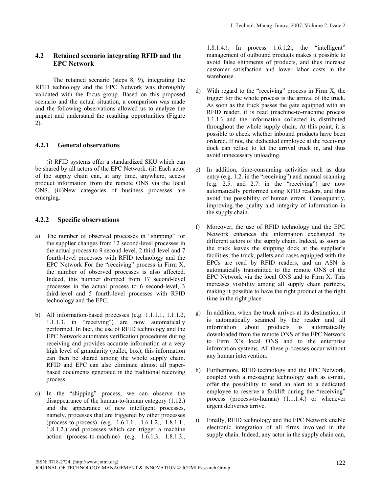# **4.2 Retained scenario integrating RFID and the EPC Network**

The retained scenario (steps 8, 9), integrating the RFID technology and the EPC Network was thoroughly validated with the focus group. Based on this proposed scenario and the actual situation, a comparison was made and the following observations allowed us to analyze the impact and understand the resulting opportunities (Figure 2).

### **4.2.1 General observations**

 (i) RFID systems offer a standardized SKU which can be shared by all actors of the EPC Network. (ii) Each actor of the supply chain can, at any time, anywhere, access product information from the remote ONS via the local ONS. (iii)New categories of business processes are emerging.

### **4.2.2 Specific observations**

- a) The number of observed processes in "shipping" for the supplier changes from 12 second-level processes in the actual process to 9 second-level, 2 third-level and 7 fourth-level processes with RFID technology and the EPC Network For the "receiving" process in Firm X, the number of observed processes is also affected. Indeed, this number dropped from 17 second-level processes in the actual process to 6 second-level, 3 third-level and 5 fourth-level processes with RFID technology and the EPC.
- b) All information-based processes (e.g. 1.1.1.1, 1.1.1.2, 1.1.1.3. in "receiving") are now automatically performed. In fact, the use of RFID technology and the EPC Network automates verification procedures during receiving and provides accurate information at a very high level of granularity (pallet, box); this information can then be shared among the whole supply chain. RFID and EPC can also eliminate almost all paperbased documents generated in the traditional receiving process.
- c) In the "shipping" process, we can observe the disappearance of the human-to-human category (1.12.) and the appearance of new intelligent processes, namely, processes that are triggered by other processes (process-to-process) (e.g. 1.6.1.1., 1.6.1.2., 1.8.1.1., 1.8.1.2.) and processes which can trigger a machine action (process-to-machine) (e.g. 1.6.1.3, 1.8.1.3.,

1.8.1.4.). In process 1.6.1.2., the "intelligent" management of outbound products makes it possible to avoid false shipments of products, and thus increase customer satisfaction and lower labor costs in the warehouse.

- d) With regard to the "receiving" process in Firm X, the trigger for the whole process is the arrival of the truck. As soon as the truck passes the gate equipped with an RFID reader, it is read (machine-to-machine process 1.1.1.) and the information collected is distributed throughout the whole supply chain. At this point, it is possible to check whether inbound products have been ordered. If not, the dedicated employee at the receiving dock can refuse to let the arrival truck in, and thus avoid unnecessary unloading.
- e) In addition, time-consuming activities such as data entry (e.g. 1.2. in the "receiving") and manual scanning (e.g. 2.5. and 2.7. in the "receiving") are now automatically performed using RFID readers, and thus avoid the possibility of human errors. Consequently, improving the quality and integrity of information in the supply chain.
- f) Moreover, the use of RFID technology and the EPC Network enhances the information exchanged by different actors of the supply chain. Indeed, as soon as the truck leaves the shipping dock at the supplier's facilities, the truck, pallets and cases equipped with the EPCs are read by RFID readers, and an ASN is automatically transmitted to the remote ONS of the EPC Network via the local ONS and to Firm X. This increases visibility among all supply chain partners, making it possible to have the right product at the right time in the right place.
- g) In addition, when the truck arrives at its destination, it is automatically scanned by the reader and all information about products is automatically downloaded from the remote ONS of the EPC Network to Firm X's local ONS and to the enterprise information systems. All these processes occur without any human intervention.
- h) Furthermore, RFID technology and the EPC Network, coupled with a messaging technology such as e-mail, offer the possibility to send an alert to a dedicated employee to reserve a forklift during the "receiving" process (process-to-human) (1.1.1.4.) or whenever urgent deliveries arrive.
- i) Finally, RFID technology and the EPC Network enable electronic integration of all firms involved in the supply chain. Indeed, any actor in the supply chain can,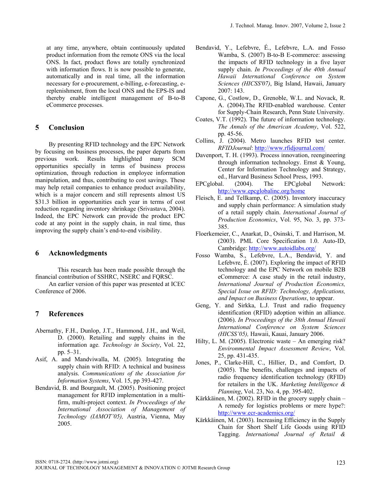at any time, anywhere, obtain continuously updated product information from the remote ONS via the local ONS. In fact, product flows are totally synchronized with information flows. It is now possible to generate, automatically and in real time, all the information necessary for e-procurement, e-billing, e-forecasting, ereplenishment, from the local ONS and the EPS-IS and thereby enable intelligent management of B-to-B eCommerce processes.

### **5 Conclusion**

By presenting RFID technology and the EPC Network by focusing on business processes, the paper departs from previous work. Results highlighted many SCM opportunities specially in terms of business process optimization, through reduction in employee information manipulation, and thus, contributing to cost savings. These may help retail companies to enhance product availability, which is a major concern and still represents almost US \$31.3 billion in opportunities each year in terms of cost reduction regarding inventory shrinkage (Srivastava, 2004). Indeed, the EPC Network can provide the product EPC code at any point in the supply chain, in real time, thus improving the supply chain's end-to-end visibility.

### **6 Acknowledgments**

 This research has been made possible through the financial contribution of SSHRC, NSERC and FQRSC.

An earlier version of this paper was presented at ICEC Conference of 2006.

# **7 References**

- Abernathy, F.H., Dunlop, J.T., Hammond, J.H., and Weil, D. (2000). Retailing and supply chains in the information age*. Technology in Society*, Vol. 22, pp. 5–31.
- Asif, A. and Mandviwalla, M. (2005). Integrating the supply chain with RFID: A technical and business analysis. *Communications of the Association for Information Systems*, Vol. 15, pp 393-427.
- Bendavid, B. and Bourgault, M. (2005). Positioning project management for RFID implementation in a multifirm, multi-project context. *In Proceedings of the International Association of Management of Technology (IAMOT'05),* Austria, Vienna, May 2005.
- Bendavid, Y., Lefebvre, É., Lefebvre, L.A. and Fosso Wamba, S. (2007) B-to-B E-commerce: assessing the impacts of RFID technology in a five layer supply chain. *In Proceedings of the 40th Annual Hawaii International Conference on System Sciences (HICSS'07)*, Big Island, Hawaii, January 2007: 143.
- Capone, G., Costlow, D., Grenoble, W.L. and Novack, R. A. (2004).The RFID-enabled warehouse. Center for Supply-Chain Research, Penn State University.
- Coates, V.T. (1992). The future of information technology. *The Annals of the American Academy*, Vol. 522, pp. 45-56.
- Collins, J. (2004). Metro launches RFID test center. *RFIDJournal*: <http://www.rfidjournal.com/>
- Davenport, T. H. (1993). Process innovation, reengineering through information technology. Ernst & Young, Center for Information Technology and Strategy, ed., Harvard Business School Press, 1993.
- EPCglobal. (2004). The EPCglobal Network: <http://www.epcglobalinc.org/home>
- Fleisch, E. and Tellkamp, C. (2005). Inventory inaccuracy and supply chain performance: A simulation study of a retail supply chain. *International Journal of Production Economics*, Vol. 95, No. 3, pp. 373- 385.
- Floerkemeier, C., Anarkat, D., Osinski, T. and Harrison, M. (2003). PML Core Specification 1.0. Auto-ID, Cambridge:<http://www.autoidlabs.org/>
- Fosso Wamba, S., Lefebvre, L.A., Bendavid, Y. and Lefebvre, É. (2007). Exploring the impact of RFID technology and the EPC Network on mobile B2B eCommerce: A case study in the retail industry, *International Journal of Production Economics, Special Issue on RFID: Technology, Applications, and Impact on Business Operations*, to appear.
- Geng, Y. and Sirkka, L.J. Trust and radio frequency identification (RFID) adoption within an alliance. (2006). *In Proceedings of the 38th Annual Hawaii International Conference on System Sciences (HICSS'05),* Hawaii, Kauai, January 2006.
- Hilty, L. M. (2005). Electronic waste An emerging risk? *Environmental Impact Assessment Review*, Vol. 25, pp. 431-435.
- Jones, P., Clarke-Hill, C., Hillier, D., and Comfort, D. (2005). The benefits, challenges and impacts of radio frequency identification technology (RFID) for retailers in the UK. *Marketing Intelligence & Planning*, Vol. 23, No. 4, pp. 395-402.
- Kärkkäinen, M. (2002). RFID in the grocery supply chain A remedy for logistics problems or mere hype?: <http://www.ecr-academics.org/>
- Kärkkäinen, M. (2003). Increasing Efficiency in the Supply Chain for Short Shelf Life Goods using RFID Tagging. *International Journal of Retail &*